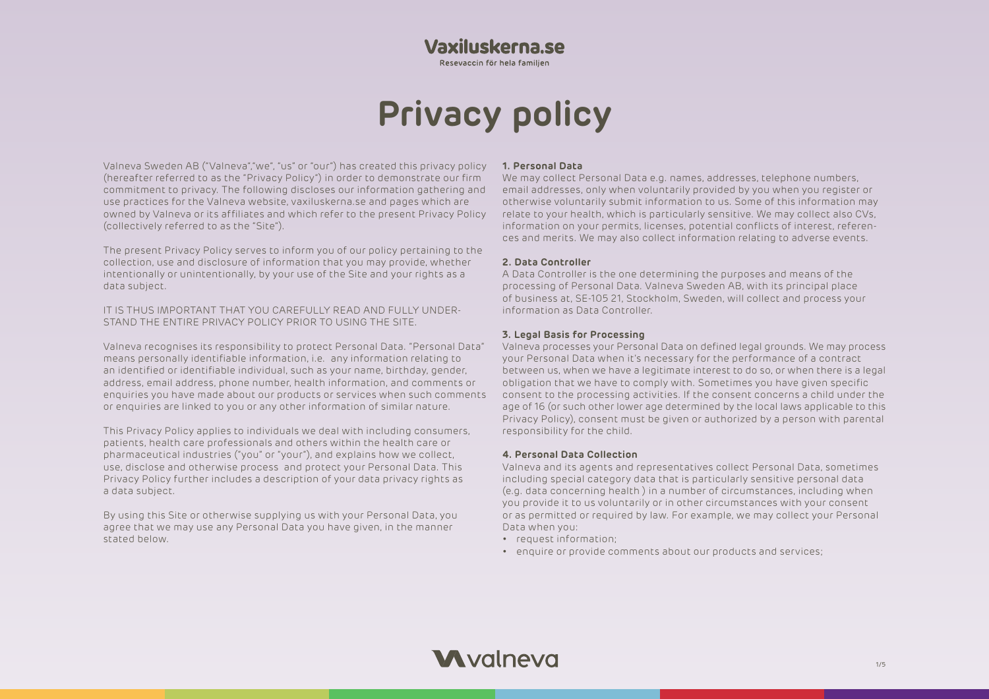Resevaccin för hela familien

# **Privacy policy**

Valneva Sweden AB ("Valneva","we", "us" or "our") has created this privacy policy (hereafter referred to as the "Privacy Policy") in order to demonstrate our firm commitment to privacy. The following discloses our information gathering and use practices for the Valneva website, vaxiluskerna.se and pages which are owned by Valneva or its affiliates and which refer to the present Privacy Policy (collectively referred to as the "Site").

The present Privacy Policy serves to inform you of our policy pertaining to the collection, use and disclosure of information that you may provide, whether intentionally or unintentionally, by your use of the Site and your rights as a data subject.

IT IS THUS IMPORTANT THAT YOU CAREFULLY READ AND FULLY UNDER-STAND THE ENTIRE PRIVACY POLICY PRIOR TO USING THE SITE.

Valneva recognises its responsibility to protect Personal Data. "Personal Data" means personally identifiable information, i.e. any information relating to an identified or identifiable individual, such as your name, birthday, gender, address, email address, phone number, health information, and comments or enquiries you have made about our products or services when such comments or enquiries are linked to you or any other information of similar nature.

This Privacy Policy applies to individuals we deal with including consumers, patients, health care professionals and others within the health care or pharmaceutical industries ("you" or "your"), and explains how we collect, use, disclose and otherwise process and protect your Personal Data. This Privacy Policy further includes a description of your data privacy rights as a data subject.

By using this Site or otherwise supplying us with your Personal Data, you agree that we may use any Personal Data you have given, in the manner stated below.

#### **1. Personal Data**

We may collect Personal Data e.g. names, addresses, telephone numbers, email addresses, only when voluntarily provided by you when you register or otherwise voluntarily submit information to us. Some of this information may relate to your health, which is particularly sensitive. We may collect also CVs, information on your permits, licenses, potential conflicts of interest, references and merits. We may also collect information relating to adverse events.

#### **2. Data Controller**

A Data Controller is the one determining the purposes and means of the processing of Personal Data. Valneva Sweden AB, with its principal place of business at, SE-105 21, Stockholm, Sweden, will collect and process your information as Data Controller.

### **3. Legal Basis for Processing**

Valneva processes your Personal Data on defined legal grounds. We may process your Personal Data when it's necessary for the performance of a contract between us, when we have a legitimate interest to do so, or when there is a legal obligation that we have to comply with. Sometimes you have given specific consent to the processing activities. If the consent concerns a child under the age of 16 (or such other lower age determined by the local laws applicable to this Privacy Policy), consent must be given or authorized by a person with parental responsibility for the child.

#### **4. Personal Data Collection**

Valneva and its agents and representatives collect Personal Data, sometimes including special category data that is particularly sensitive personal data (e.g. data concerning health ) in a number of circumstances, including when you provide it to us voluntarily or in other circumstances with your consent or as permitted or required by law. For example, we may collect your Personal Data when you:

- request information;
- enquire or provide comments about our products and services;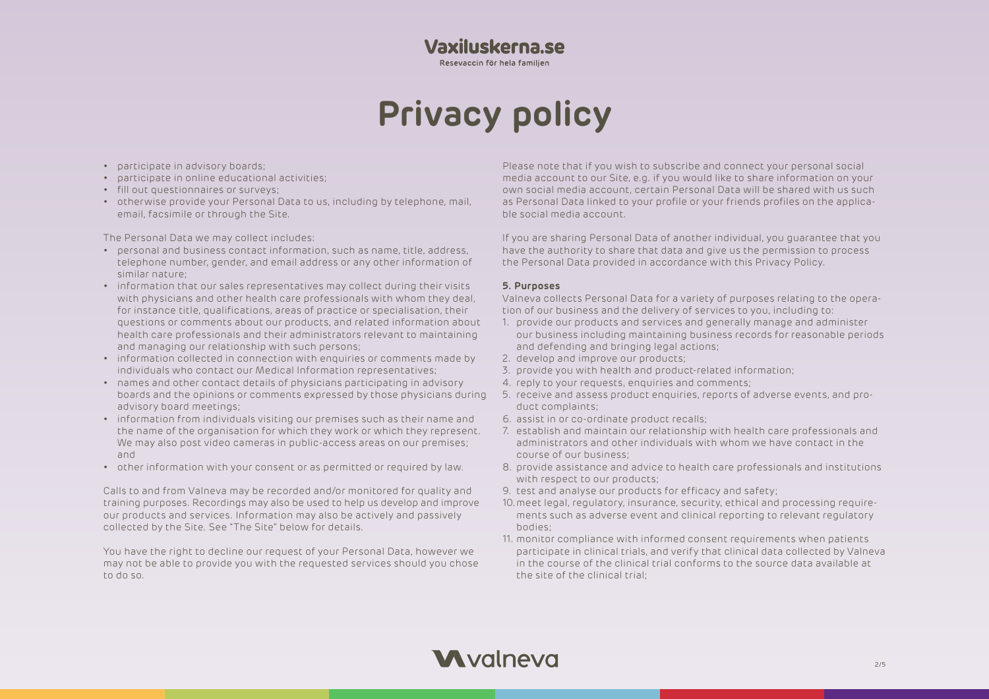**Vaxiluskerna.se** 

Resevaccin för hela familien

# **Privacy policy**

- participate in advisory boards;
- participate in online educational activities;
- fill out questionnaires or surveys;
- otherwise provide your Personal Data to us, including by telephone, mail, email, facsimile or through the Site.

The Personal Data we may collect includes:

- personal and business contact information, such as name, title, address, telephone number, gender, and email address or any other information of similar nature;
- information that our sales representatives may collect during their visits with physicians and other health care professionals with whom they deal, for instance title, qualifications, areas of practice or specialisation, their questions or comments about our products, and related information about health care professionals and their administrators relevant to maintaining and managing our relationship with such persons;
- information collected in connection with enquiries or comments made by individuals who contact our Medical Information representatives;
- names and other contact details of physicians participating in advisory boards and the opinions or comments expressed by those physicians during advisory board meetings;
- information from individuals visiting our premises such as their name and the name of the organisation for which they work or which they represent. We may also post video cameras in public-access areas on our premises; and
- other information with your consent or as permitted or required by law.

Calls to and from Valneva may be recorded and/or monitored for quality and training purposes. Recordings may also be used to help us develop and improve our products and services. Information may also be actively and passively collected by the Site. See "The Site" below for details.

You have the right to decline our request of your Personal Data, however we may not be able to provide you with the requested services should you chose to do so.

Please note that if you wish to subscribe and connect your personal social media account to our Site, e.g. if you would like to share information on your own social media account, certain Personal Data will be shared with us such as Personal Data linked to your profile or your friends profiles on the applicable social media account.

If you are sharing Personal Data of another individual, you guarantee that you have the authority to share that data and give us the permission to process the Personal Data provided in accordance with this Privacy Policy.

#### **5. Purposes**

Valneva collects Personal Data for a variety of purposes relating to the operation of our business and the delivery of services to you, including to:

- 1. provide our products and services and generally manage and administer our business including maintaining business records for reasonable periods and defending and bringing legal actions;
- 2. develop and improve our products;
- 3. provide you with health and product-related information;
- 4. reply to your requests, enquiries and comments;
- 5. receive and assess product enquiries, reports of adverse events, and product complaints;
- 6. assist in or co-ordinate product recalls;
- 7. establish and maintain our relationship with health care professionals and administrators and other individuals with whom we have contact in the course of our business;
- 8. provide assistance and advice to health care professionals and institutions with respect to our products;
- 9. test and analyse our products for efficacy and safety;
- 10.meet legal, regulatory, insurance, security, ethical and processing requirements such as adverse event and clinical reporting to relevant regulatory bodies;
- 11. monitor compliance with informed consent requirements when patients participate in clinical trials, and verify that clinical data collected by Valneva in the course of the clinical trial conforms to the source data available at the site of the clinical trial;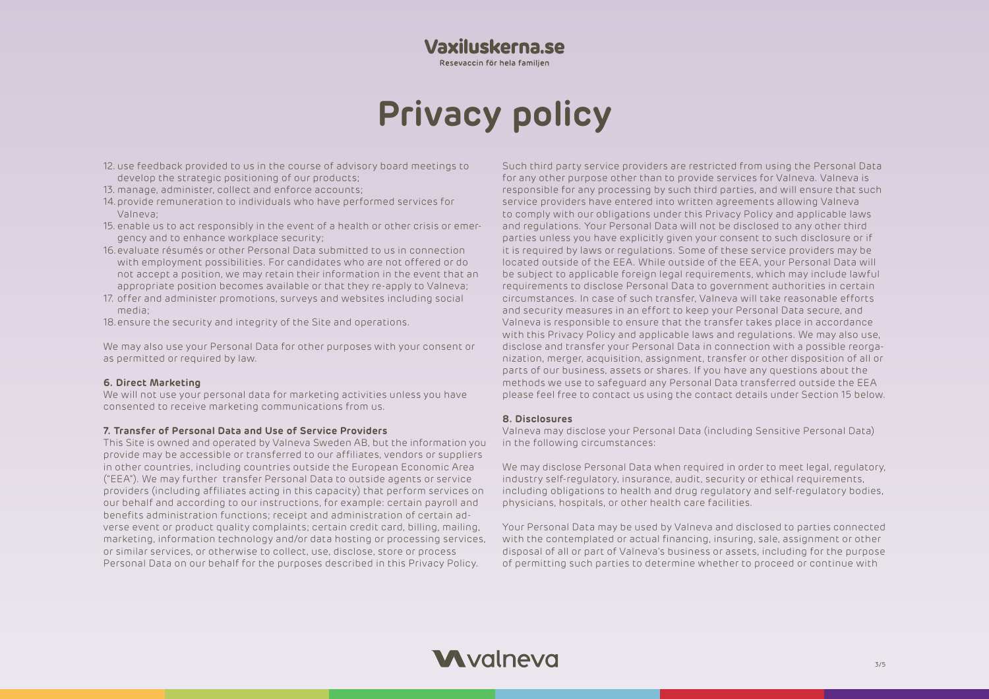Resevaccin för hela familien

## **Privacy policy**

- 12. use feedback provided to us in the course of advisory board meetings to develop the strategic positioning of our products;
- 13. manage, administer, collect and enforce accounts;
- 14.provide remuneration to individuals who have performed services for Valneva;
- 15. enable us to act responsibly in the event of a health or other crisis or emergency and to enhance workplace security;
- 16.evaluate résumés or other Personal Data submitted to us in connection with employment possibilities. For candidates who are not offered or do not accept a position, we may retain their information in the event that an appropriate position becomes available or that they re-apply to Valneva;
- 17. offer and administer promotions, surveys and websites including social media;
- 18.ensure the security and integrity of the Site and operations.

We may also use your Personal Data for other purposes with your consent or as permitted or required by law.

#### **6. Direct Marketing**

We will not use your personal data for marketing activities unless you have consented to receive marketing communications from us.

#### **7. Transfer of Personal Data and Use of Service Providers**

This Site is owned and operated by Valneva Sweden AB, but the information you provide may be accessible or transferred to our affiliates, vendors or suppliers in other countries, including countries outside the European Economic Area ("EEA"). We may further transfer Personal Data to outside agents or service providers (including affiliates acting in this capacity) that perform services on our behalf and according to our instructions, for example: certain payroll and benefits administration functions; receipt and administration of certain adverse event or product quality complaints; certain credit card, billing, mailing, marketing, information technology and/or data hosting or processing services, or similar services, or otherwise to collect, use, disclose, store or process Personal Data on our behalf for the purposes described in this Privacy Policy.

Such third party service providers are restricted from using the Personal Data for any other purpose other than to provide services for Valneva. Valneva is responsible for any processing by such third parties, and will ensure that such service providers have entered into written agreements allowing Valneva to comply with our obligations under this Privacy Policy and applicable laws and regulations. Your Personal Data will not be disclosed to any other third parties unless you have explicitly given your consent to such disclosure or if it is required by laws or regulations. Some of these service providers may be located outside of the EEA. While outside of the EEA, your Personal Data will be subject to applicable foreign legal requirements, which may include lawful requirements to disclose Personal Data to government authorities in certain circumstances. In case of such transfer, Valneva will take reasonable efforts and security measures in an effort to keep your Personal Data secure, and Valneva is responsible to ensure that the transfer takes place in accordance with this Privacy Policy and applicable laws and regulations. We may also use, disclose and transfer your Personal Data in connection with a possible reorganization, merger, acquisition, assignment, transfer or other disposition of all or parts of our business, assets or shares. If you have any questions about the methods we use to safeguard any Personal Data transferred outside the EEA please feel free to contact us using the contact details under Section 15 below.

#### **8. Disclosures**

Valneva may disclose your Personal Data (including Sensitive Personal Data) in the following circumstances:

We may disclose Personal Data when required in order to meet legal, regulatory, industry self-regulatory, insurance, audit, security or ethical requirements, including obligations to health and drug regulatory and self-regulatory bodies, physicians, hospitals, or other health care facilities.

Your Personal Data may be used by Valneva and disclosed to parties connected with the contemplated or actual financing, insuring, sale, assignment or other disposal of all or part of Valneva's business or assets, including for the purpose of permitting such parties to determine whether to proceed or continue with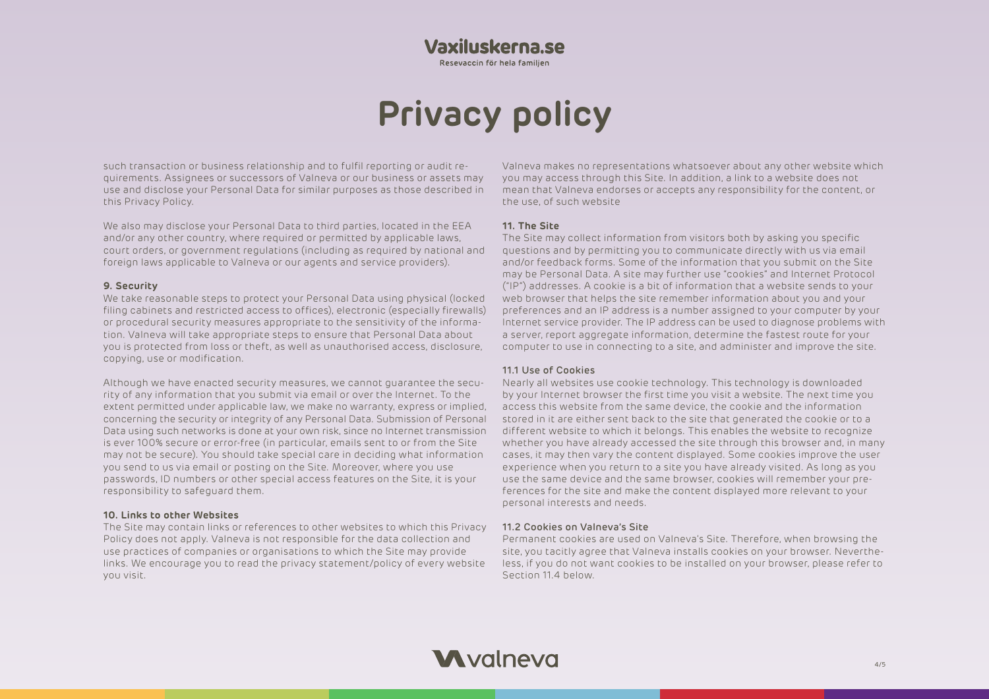Resevaccin för hela familien

# **Privacy policy**

such transaction or business relationship and to fulfil reporting or audit requirements. Assignees or successors of Valneva or our business or assets may use and disclose your Personal Data for similar purposes as those described in this Privacy Policy.

We also may disclose your Personal Data to third parties, located in the EEA and/or any other country, where required or permitted by applicable laws, court orders, or government regulations (including as required by national and foreign laws applicable to Valneva or our agents and service providers).

#### **9. Security**

We take reasonable steps to protect your Personal Data using physical (locked filing cabinets and restricted access to offices), electronic (especially firewalls) or procedural security measures appropriate to the sensitivity of the information. Valneva will take appropriate steps to ensure that Personal Data about you is protected from loss or theft, as well as unauthorised access, disclosure, copying, use or modification.

Although we have enacted security measures, we cannot guarantee the security of any information that you submit via email or over the Internet. To the extent permitted under applicable law, we make no warranty, express or implied, concerning the security or integrity of any Personal Data. Submission of Personal Data using such networks is done at your own risk, since no Internet transmission is ever 100% secure or error-free (in particular, emails sent to or from the Site may not be secure). You should take special care in deciding what information you send to us via email or posting on the Site. Moreover, where you use passwords, ID numbers or other special access features on the Site, it is your responsibility to safeguard them.

#### **10. Links to other Websites**

The Site may contain links or references to other websites to which this Privacy Policy does not apply. Valneva is not responsible for the data collection and use practices of companies or organisations to which the Site may provide links. We encourage you to read the privacy statement/policy of every website you visit.

Valneva makes no representations whatsoever about any other website which you may access through this Site. In addition, a link to a website does not mean that Valneva endorses or accepts any responsibility for the content, or the use, of such website

#### **11. The Site**

The Site may collect information from visitors both by asking you specific questions and by permitting you to communicate directly with us via email and/or feedback forms. Some of the information that you submit on the Site may be Personal Data. A site may further use "cookies" and Internet Protocol ("IP") addresses. A cookie is a bit of information that a website sends to your web browser that helps the site remember information about you and your preferences and an IP address is a number assigned to your computer by your Internet service provider. The IP address can be used to diagnose problems with a server, report aggregate information, determine the fastest route for your computer to use in connecting to a site, and administer and improve the site.

#### 11.1 Use of Cookies

Nearly all websites use cookie technology. This technology is downloaded by your Internet browser the first time you visit a website. The next time you access this website from the same device, the cookie and the information stored in it are either sent back to the site that generated the cookie or to a different website to which it belongs. This enables the website to recognize whether you have already accessed the site through this browser and, in many cases, it may then vary the content displayed. Some cookies improve the user experience when you return to a site you have already visited. As long as you use the same device and the same browser, cookies will remember your preferences for the site and make the content displayed more relevant to your personal interests and needs.

#### 11.2 Cookies on Valneva's Site

Permanent cookies are used on Valneva's Site. Therefore, when browsing the site, you tacitly agree that Valneva installs cookies on your browser. Nevertheless, if you do not want cookies to be installed on your browser, please refer to Section 11.4 below.